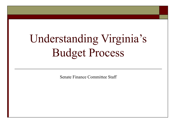# Understanding Virginia's Budget Process

Senate Finance Committee Staff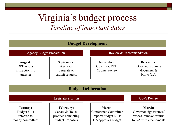### Virginia's budget process *Timeline of important dates*

#### **Budget Development**



#### **Budget Deliberation**

| Legislative Action |                   |                       | Gov's Review            |
|--------------------|-------------------|-----------------------|-------------------------|
| <b>January:</b>    | <b>February:</b>  | <b>March:</b>         | <b>March:</b>           |
| Budget bills       | Senate & House    | Conference Committee  | Governor signs/vetoes/  |
| referred to        | produce competing | reports budget bills/ | vetoes items/or returns |
| money committees   | budget proposals  | GA approves budget    | to GA with amendments   |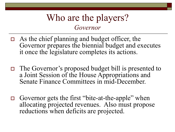#### Who are the players? *Governor*

- $\Box$  As the chief planning and budget officer, the Governor prepares the biennial budget and executes it once the legislature completes its actions.
- The Governor's proposed budget bill is presented to a Joint Session of the House Appropriations and Senate Finance Committees in mid-December.
- □ Governor gets the first "bite-at-the-apple" when allocating projected revenues. Also must propose reductions when deficits are projected.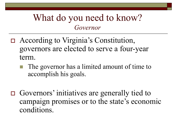#### What do you need to know? *Governor*

- According to Virginia's Constitution, governors are elected to serve a four-year term.
	- The governor has a limited amount of time to accomplish his goals.
- Governors' initiatives are generally tied to campaign promises or to the state's economic conditions.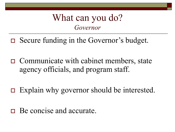#### What can you do? *Governor*

- Secure funding in the Governor's budget.
- $\Box$  Communicate with cabinet members, state agency officials, and program staff.
- $\Box$  Explain why governor should be interested.
- Be concise and accurate.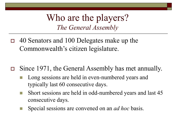- $\Box$  40 Senators and 100 Delegates make up the Commonwealth's citizen legislature.
- Since 1971, the General Assembly has met annually.
	- Long sessions are held in even-numbered years and typically last 60 consecutive days.
	- **Short sessions are held in odd-numbered years and last 45** consecutive days.
	- Special sessions are convened on an *ad hoc* basis.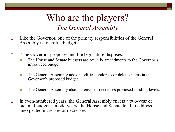- $\Box$  Like the Governor, one of the primary responsibilities of the General Assembly is to craft a budget.
- "The Governor proposes and the legislature disposes."
	- The House and Senate budgets are actually amendments to the Governor's introduced budget.
	- **The General Assembly adds, modifies, endorses or deletes items in the** Governor's proposed budget.
	- The General Assembly also increases or decreases proposed funding levels.
- In even-numbered years, the General Assembly enacts a two-year or biennial budget. In odd years, the House and Senate tend to address unexpected increases or decreases.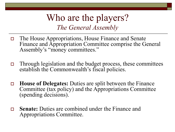- The House Appropriations, House Finance and Senate Finance and Appropriation Committee comprise the General Assembly's "money committees."
- $\Box$  Through legislation and the budget process, these committees establish the Commonwealth's fiscal policies.
- **House of Delegates:** Duties are split between the Finance Committee (tax policy) and the Appropriations Committee (spending decisions).
- **Senate:** Duties are combined under the Finance and Appropriations Committee.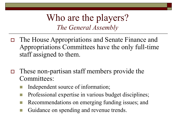- The House Appropriations and Senate Finance and Appropriations Committees have the only full-time staff assigned to them.
- $\Box$  These non-partisan staff members provide the Committees:
	- Independent source of information;
	- Professional expertise in various budget disciplines;
	- Recommendations on emerging funding issues; and
	- Guidance on spending and revenue trends.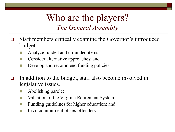- Staff members critically examine the Governor's introduced budget.
	- Analyze funded and unfunded items;
	- Consider alternative approaches; and
	- Develop and recommend funding policies.
- In addition to the budget, staff also become involved in legislative issues.
	- Abolishing parole;
	- Valuation of the Virginia Retirement System;
	- Funding guidelines for higher education; and
	- Civil commitment of sex offenders.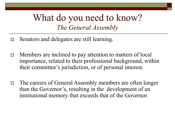#### What do you need to know? *The General Assembly*

- Senators and delegates are still learning.
- $\Box$  Members are inclined to pay attention to matters of local importance, related to their professional background, within their committee's jurisdiction, or of personal interest.
- □ The careers of General Assembly members are often longer than the Governor's, resulting in the development of an institutional memory that exceeds that of the Governor.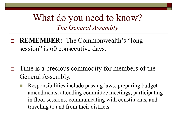#### What do you need to know? *The General Assembly*

- **REMEMBER:** The Commonwealth's "longsession" is 60 consecutive days.
- $\Box$  Time is a precious commodity for members of the General Assembly.
	- Responsibilities include passing laws, preparing budget amendments, attending committee meetings, participating in floor sessions, communicating with constituents, and traveling to and from their districts.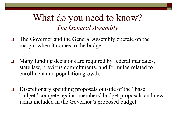#### What do you need to know? *The General Assembly*

- The Governor and the General Assembly operate on the margin when it comes to the budget.
- □ Many funding decisions are required by federal mandates, state law, previous commitments, and formulae related to enrollment and population growth.
- $\Box$  Discretionary spending proposals outside of the "base" budget" compete against members' budget proposals and new items included in the Governor's proposed budget.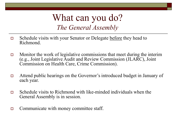#### What can you do? *The General Assembly*

- □ Schedule visits with your Senator or Delegate before they head to Richmond.
- $\Box$  Monitor the work of legislative commissions that meet during the interim (e.g., Joint Legislative Audit and Review Commission (JLARC), Joint Commission on Health Care, Crime Commission).
- Attend public hearings on the Governor's introduced budget in January of each year.
- $\Box$  Schedule visits to Richmond with like-minded individuals when the General Assembly is in session.
- $\Box$  Communicate with money committee staff.